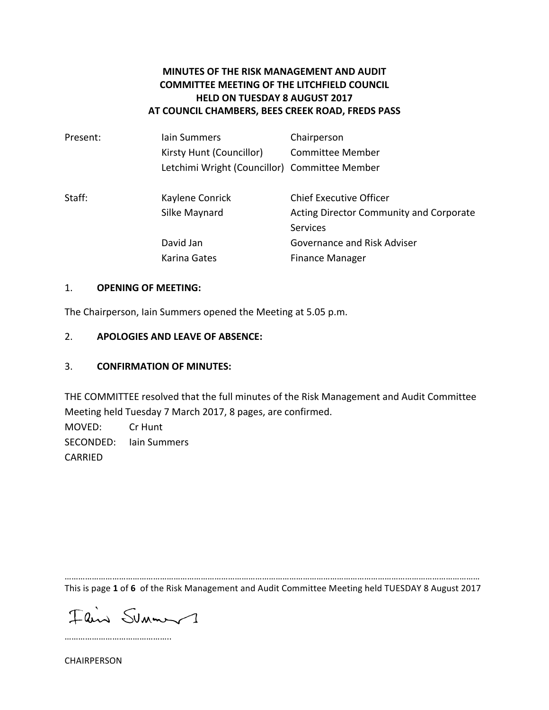## **MINUTES OF THE RISK MANAGEMENT AND AUDIT COMMITTEE MEETING OF THE LITCHFIELD COUNCIL HELD ON TUESDAY 8 AUGUST 2017 AT COUNCIL CHAMBERS, BEES CREEK ROAD, FREDS PASS**

| Present: | lain Summers                                  | Chairperson                                    |
|----------|-----------------------------------------------|------------------------------------------------|
|          | Kirsty Hunt (Councillor)                      | <b>Committee Member</b>                        |
|          | Letchimi Wright (Councillor) Committee Member |                                                |
| Staff:   | Kaylene Conrick                               | <b>Chief Executive Officer</b>                 |
|          | Silke Maynard                                 | <b>Acting Director Community and Corporate</b> |
|          |                                               | <b>Services</b>                                |
|          | David Jan                                     | <b>Governance and Risk Adviser</b>             |
|          | Karina Gates                                  | <b>Finance Manager</b>                         |

#### 1. **OPENING OF MEETING:**

The Chairperson, Iain Summers opened the Meeting at 5.05 p.m.

#### 2. **APOLOGIES AND LEAVE OF ABSENCE:**

### 3. **CONFIRMATION OF MINUTES:**

THE COMMITTEE resolved that the full minutes of the Risk Management and Audit Committee Meeting held Tuesday 7 March 2017, 8 pages, are confirmed. MOVED: Cr Hunt SECONDED: lain Summers CARRIED

………………………………………………………………………………………………………………………………………………………………… This is page 1 of 6 of the Risk Management and Audit Committee Meeting held TUESDAY 8 August 2017

Flin Sunny

…………………………………………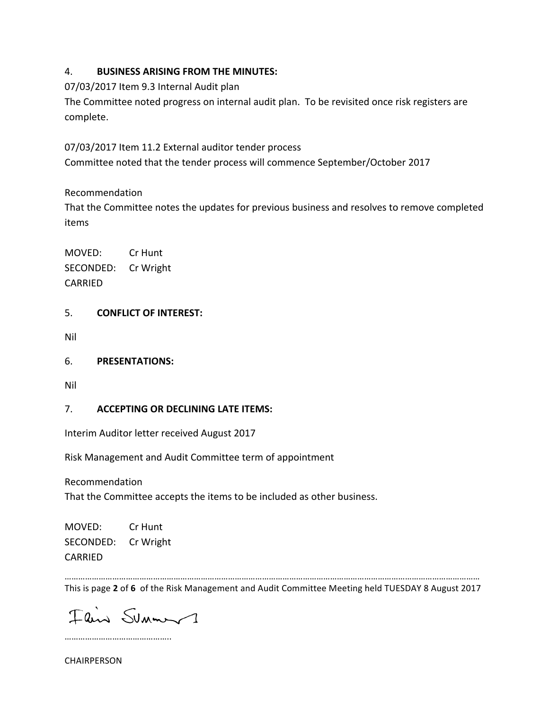## 4. **BUSINESS ARISING FROM THE MINUTES:**

07/03/2017 Item 9.3 Internal Audit plan

The Committee noted progress on internal audit plan. To be revisited once risk registers are complete.

07/03/2017 Item 11.2 External auditor tender process

Committee noted that the tender process will commence September/October 2017

# Recommendation

That the Committee notes the updates for previous business and resolves to remove completed items

MOVED: Cr Hunt SECONDED: Cr Wright CARRIED

## 5. **CONFLICT OF INTEREST:**

Nil

6. **PRESENTATIONS:** 

Nil

# 7. **ACCEPTING OR DECLINING LATE ITEMS:**

Interim Auditor letter received August 2017

Risk Management and Audit Committee term of appointment

Recommendation

That the Committee accepts the items to be included as other business.

MOVED: Cr Hunt SECONDED: Cr Wright CARRIED

………………………………………………………………………………………………………………………………………………………………… This is page 2 of 6 of the Risk Management and Audit Committee Meeting held TUESDAY 8 August 2017

Flin Summ 1

…………………………………………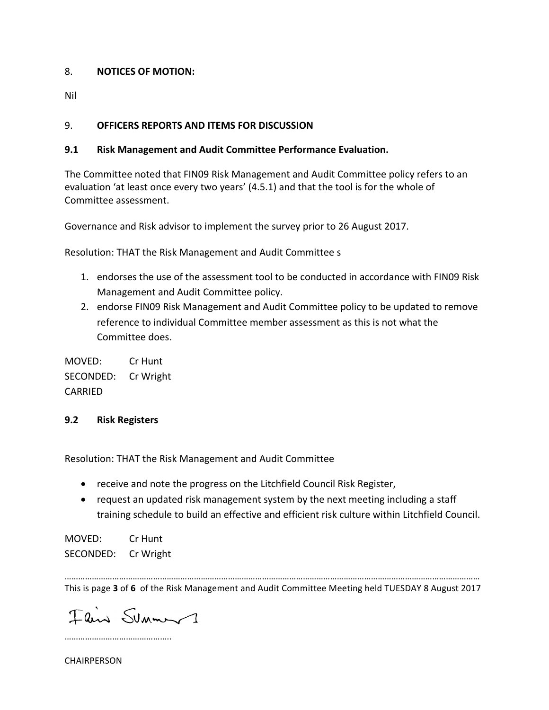### 8. **NOTICES OF MOTION:**

Nil

## 9. **OFFICERS REPORTS AND ITEMS FOR DISCUSSION**

## **9.1 Risk Management and Audit Committee Performance Evaluation.**

The Committee noted that FIN09 Risk Management and Audit Committee policy refers to an evaluation 'at least once every two years' (4.5.1) and that the tool is for the whole of Committee assessment.

Governance and Risk advisor to implement the survey prior to 26 August 2017.

Resolution: THAT the Risk Management and Audit Committee s

- 1. endorses the use of the assessment tool to be conducted in accordance with FIN09 Risk Management and Audit Committee policy.
- 2. endorse FIN09 Risk Management and Audit Committee policy to be updated to remove reference to individual Committee member assessment as this is not what the Committee does.

MOVED: Cr Hunt SECONDED: Cr Wright CARRIED

### **9.2 Risk Registers**

Resolution: THAT the Risk Management and Audit Committee

- receive and note the progress on the Litchfield Council Risk Register,
- request an updated risk management system by the next meeting including a staff training schedule to build an effective and efficient risk culture within Litchfield Council.

MOVED: Cr Hunt SECONDED: Cr Wright

………………………………………………………………………………………………………………………………………………………………… This is page 3 of 6 of the Risk Management and Audit Committee Meeting held TUESDAY 8 August 2017

Flin Sunny

…………………………………………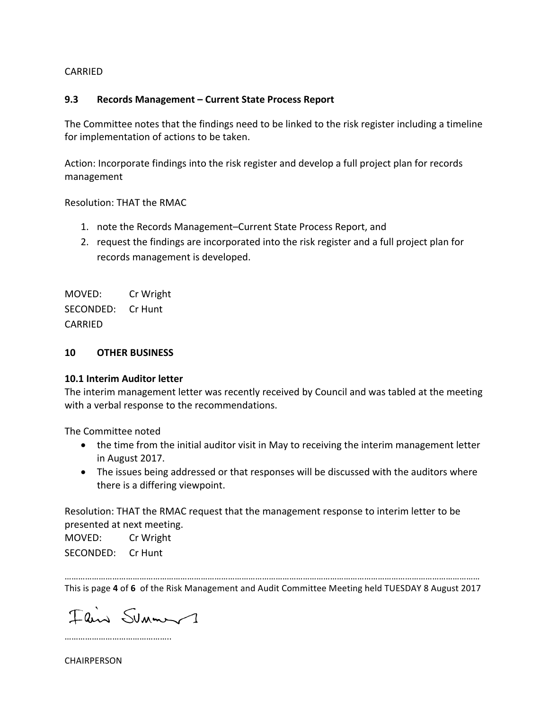#### CARRIED

#### **9.3 Records Management – Current State Process Report**

The Committee notes that the findings need to be linked to the risk register including a timeline for implementation of actions to be taken.

Action: Incorporate findings into the risk register and develop a full project plan for records management

Resolution: THAT the RMAC

- 1. note the Records Management–Current State Process Report, and
- 2. request the findings are incorporated into the risk register and a full project plan for records management is developed.

MOVED: Cr Wright SECONDED: Cr Hunt CARRIED

#### **10 OTHER BUSINESS**

#### **10.1 Interim Auditor letter**

The interim management letter was recently received by Council and was tabled at the meeting with a verbal response to the recommendations.

The Committee noted

- the time from the initial auditor visit in May to receiving the interim management letter in August 2017.
- The issues being addressed or that responses will be discussed with the auditors where there is a differing viewpoint.

Resolution: THAT the RMAC request that the management response to interim letter to be presented at next meeting.

MOVED: Cr Wright SECONDED: Cr Hunt

………………………………………………………………………………………………………………………………………………………………… This is page 4 of 6 of the Risk Management and Audit Committee Meeting held TUESDAY 8 August 2017

Flin Summ 1

…………………………………………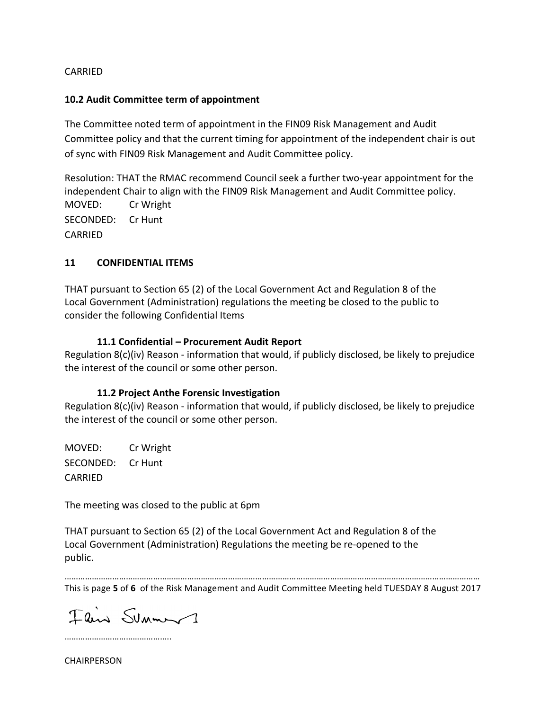#### CARRIED

#### **10.2 Audit Committee term of appointment**

The Committee noted term of appointment in the FIN09 Risk Management and Audit Committee policy and that the current timing for appointment of the independent chair is out of sync with FIN09 Risk Management and Audit Committee policy.

Resolution: THAT the RMAC recommend Council seek a further two-year appointment for the independent Chair to align with the FIN09 Risk Management and Audit Committee policy. MOVED: Cr Wright SECONDED: Cr Hunt CARRIED

#### **11 CONFIDENTIAL ITEMS**

THAT pursuant to Section 65 (2) of the Local Government Act and Regulation 8 of the Local Government (Administration) regulations the meeting be closed to the public to consider the following Confidential Items

#### **11.1 Confidential – Procurement Audit Report**

Regulation 8(c)(iv) Reason - information that would, if publicly disclosed, be likely to prejudice the interest of the council or some other person.

#### **11.2 Project Anthe Forensic Investigation**

Regulation  $8(c)(iv)$  Reason - information that would, if publicly disclosed, be likely to prejudice the interest of the council or some other person.

MOVED: Cr Wright SECONDED: Cr Hunt CARRIED

The meeting was closed to the public at 6pm

THAT pursuant to Section 65 (2) of the Local Government Act and Regulation 8 of the Local Government (Administration) Regulations the meeting be re-opened to the public.

………………………………………………………………………………………………………………………………………………………………… This is page 5 of 6 of the Risk Management and Audit Committee Meeting held TUESDAY 8 August 2017

Flin Summ 1

………………………………………